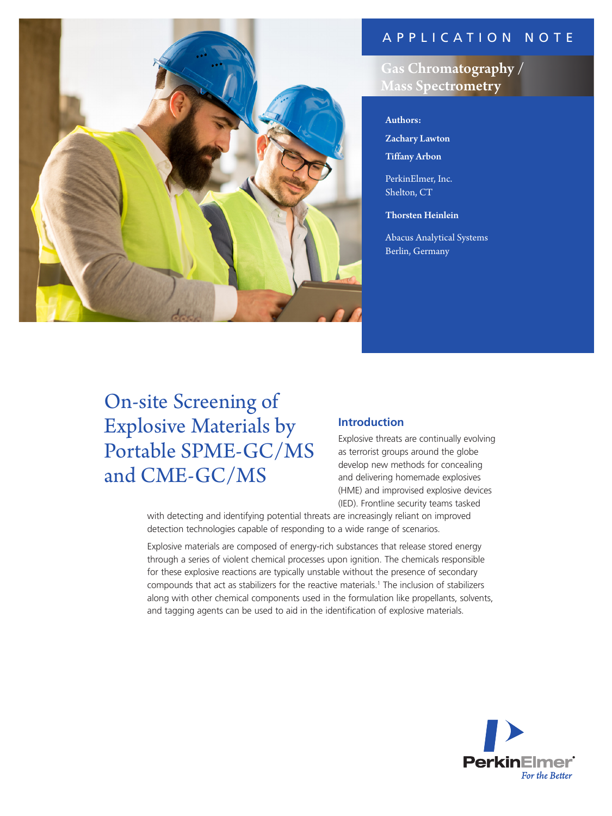## APPLICATION NOTE



# Gas Chromatography / **Mass Spectrometry**

## Authors:

Zachary Lawton Tiffany Arbon

PerkinElmer, Inc. Shelton, CT

Thorsten Heinlein

Abacus Analytical Systems Berlin, Germany

# On-site Screening of Explosive Materials by Portable SPME-GC/MS and CME-GC/MS

## **Introduction**

Explosive threats are continually evolving as terrorist groups around the globe develop new methods for concealing and delivering homemade explosives (HME) and improvised explosive devices (IED). Frontline security teams tasked

with detecting and identifying potential threats are increasingly reliant on improved detection technologies capable of responding to a wide range of scenarios.

Explosive materials are composed of energy-rich substances that release stored energy through a series of violent chemical processes upon ignition. The chemicals responsible for these explosive reactions are typically unstable without the presence of secondary compounds that act as stabilizers for the reactive materials.<sup>1</sup> The inclusion of stabilizers along with other chemical components used in the formulation like propellants, solvents, and tagging agents can be used to aid in the identification of explosive materials.

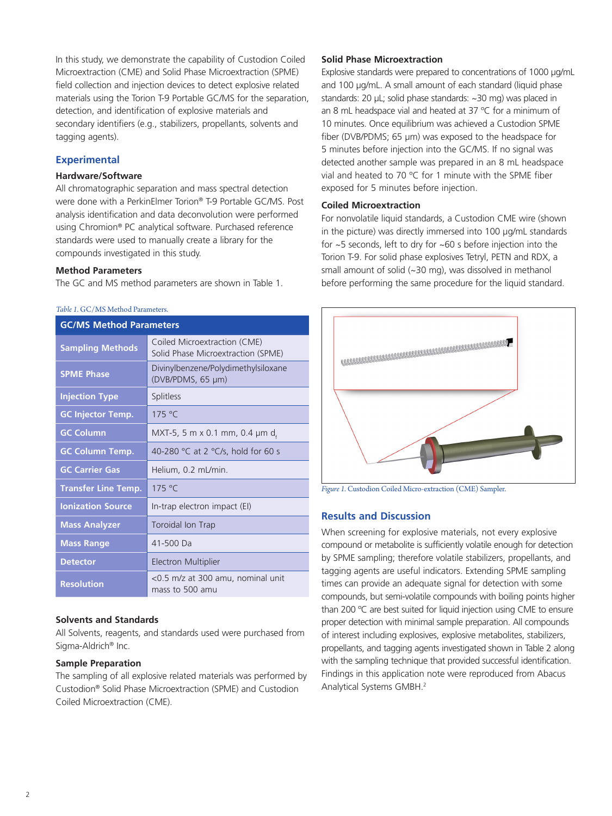In this study, we demonstrate the capability of Custodion Coiled Microextraction (CME) and Solid Phase Microextraction (SPME) field collection and injection devices to detect explosive related materials using the Torion T-9 Portable GC/MS for the separation, detection, and identification of explosive materials and secondary identifiers (e.g., stabilizers, propellants, solvents and tagging agents).

## **Experimental**

### **Hardware/Software**

All chromatographic separation and mass spectral detection were done with a PerkinElmer Torion® T-9 Portable GC/MS. Post analysis identification and data deconvolution were performed using Chromion® PC analytical software. Purchased reference standards were used to manually create a library for the compounds investigated in this study.

#### **Method Parameters**

The GC and MS method parameters are shown in Table 1.

#### *Table 1.* GC/MS Method Parameters.

| <b>GC/MS Method Parameters</b> |                                                                    |  |
|--------------------------------|--------------------------------------------------------------------|--|
| <b>Sampling Methods</b>        | Coiled Microextraction (CME)<br>Solid Phase Microextraction (SPME) |  |
| <b>SPME Phase</b>              | Divinylbenzene/Polydimethylsiloxane<br>(DVB/PDMS, 65 µm)           |  |
| <b>Injection Type</b>          | <b>Splitless</b>                                                   |  |
| <b>GC Injector Temp.</b>       | 175 °C                                                             |  |
| <b>GC Column</b>               | MXT-5, 5 m x 0.1 mm, 0.4 $\mu$ m d,                                |  |
| <b>GC Column Temp.</b>         | 40-280 °C at 2 °C/s, hold for 60 s                                 |  |
| <b>GC Carrier Gas</b>          | Helium, 0.2 mL/min.                                                |  |
| <b>Transfer Line Temp.</b>     | 175 °C                                                             |  |
| <b>Ionization Source</b>       | In-trap electron impact (EI)                                       |  |
| <b>Mass Analyzer</b>           | Toroidal Ion Trap                                                  |  |
| <b>Mass Range</b>              | 41-500 Da                                                          |  |
| <b>Detector</b>                | <b>Electron Multiplier</b>                                         |  |
| <b>Resolution</b>              | <0.5 m/z at 300 amu, nominal unit<br>mass to 500 amu               |  |

## **Solvents and Standards**

All Solvents, reagents, and standards used were purchased from Sigma-Aldrich® Inc.

#### **Sample Preparation**

The sampling of all explosive related materials was performed by Custodion® Solid Phase Microextraction (SPME) and Custodion Coiled Microextraction (CME).

#### **Solid Phase Microextraction**

Explosive standards were prepared to concentrations of 1000 µg/mL and 100 µg/mL. A small amount of each standard (liquid phase standards: 20 µL; solid phase standards: ~30 mg) was placed in an 8 mL headspace vial and heated at 37 ºC for a minimum of 10 minutes. Once equilibrium was achieved a Custodion SPME fiber (DVB/PDMS; 65 µm) was exposed to the headspace for 5 minutes before injection into the GC/MS. If no signal was detected another sample was prepared in an 8 mL headspace vial and heated to 70 ºC for 1 minute with the SPME fiber exposed for 5 minutes before injection.

#### **Coiled Microextraction**

For nonvolatile liquid standards, a Custodion CME wire (shown in the picture) was directly immersed into 100 µg/mL standards for ~5 seconds, left to dry for ~60 s before injection into the Torion T-9. For solid phase explosives Tetryl, PETN and RDX, a small amount of solid (~30 mg), was dissolved in methanol before performing the same procedure for the liquid standard.



*Figure 1.* Custodion Coiled Micro-extraction (CME) Sampler.

## **Results and Discussion**

When screening for explosive materials, not every explosive compound or metabolite is sufficiently volatile enough for detection by SPME sampling; therefore volatile stabilizers, propellants, and tagging agents are useful indicators. Extending SPME sampling times can provide an adequate signal for detection with some compounds, but semi-volatile compounds with boiling points higher than 200 °C are best suited for liquid injection using CME to ensure proper detection with minimal sample preparation. All compounds of interest including explosives, explosive metabolites, stabilizers, propellants, and tagging agents investigated shown in Table 2 along with the sampling technique that provided successful identification. Findings in this application note were reproduced from Abacus Analytical Systems GMBH.2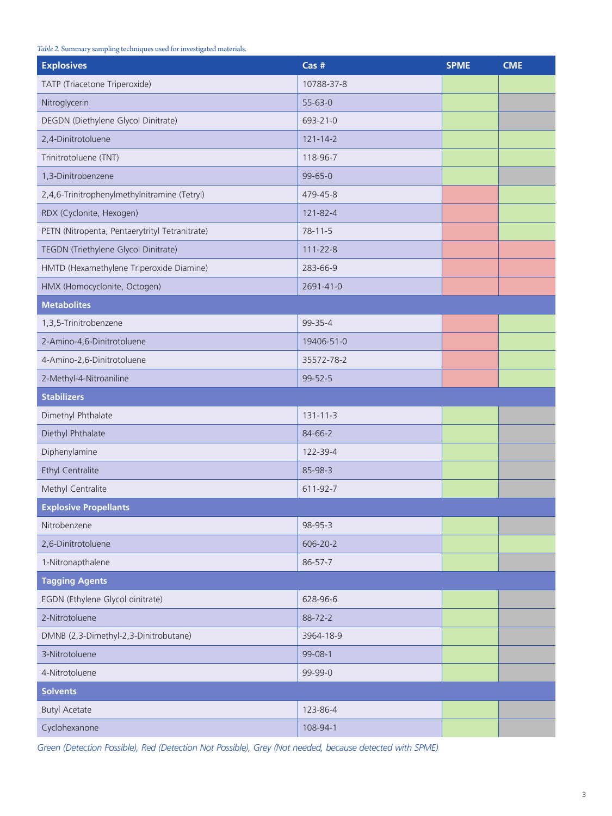#### *Table 2.* Summary sampling techniques used for investigated materials.

| <b>Explosives</b>                              | $Cas$ #        | <b>SPME</b> | <b>CME</b> |
|------------------------------------------------|----------------|-------------|------------|
| TATP (Triacetone Triperoxide)                  | 10788-37-8     |             |            |
| Nitroglycerin                                  | $55 - 63 - 0$  |             |            |
| DEGDN (Diethylene Glycol Dinitrate)            | 693-21-0       |             |            |
| 2,4-Dinitrotoluene                             | $121 - 14 - 2$ |             |            |
| Trinitrotoluene (TNT)                          | 118-96-7       |             |            |
| 1,3-Dinitrobenzene                             | $99 - 65 - 0$  |             |            |
| 2,4,6-Trinitrophenylmethylnitramine (Tetryl)   | 479-45-8       |             |            |
| RDX (Cyclonite, Hexogen)                       | 121-82-4       |             |            |
| PETN (Nitropenta, Pentaerytrityl Tetranitrate) | $78 - 11 - 5$  |             |            |
| TEGDN (Triethylene Glycol Dinitrate)           | $111 - 22 - 8$ |             |            |
| HMTD (Hexamethylene Triperoxide Diamine)       | 283-66-9       |             |            |
| HMX (Homocyclonite, Octogen)                   | 2691-41-0      |             |            |
| <b>Metabolites</b>                             |                |             |            |
| 1,3,5-Trinitrobenzene                          | $99 - 35 - 4$  |             |            |
| 2-Amino-4,6-Dinitrotoluene                     | 19406-51-0     |             |            |
| 4-Amino-2,6-Dinitrotoluene                     | 35572-78-2     |             |            |
| 2-Methyl-4-Nitroaniline                        | 99-52-5        |             |            |
| <b>Stabilizers</b>                             |                |             |            |
| Dimethyl Phthalate                             | $131 - 11 - 3$ |             |            |
| Diethyl Phthalate                              | 84-66-2        |             |            |
| Diphenylamine                                  | 122-39-4       |             |            |
| <b>Ethyl Centralite</b>                        | 85-98-3        |             |            |
| Methyl Centralite                              | 611-92-7       |             |            |
| <b>Explosive Propellants</b>                   |                |             |            |
| Nitrobenzene                                   | 98-95-3        |             |            |
| 2,6-Dinitrotoluene                             | 606-20-2       |             |            |
| 1-Nitronapthalene                              | 86-57-7        |             |            |
| <b>Tagging Agents</b>                          |                |             |            |
| EGDN (Ethylene Glycol dinitrate)               | 628-96-6       |             |            |
| 2-Nitrotoluene                                 | 88-72-2        |             |            |
| DMNB (2,3-Dimethyl-2,3-Dinitrobutane)          | 3964-18-9      |             |            |
| 3-Nitrotoluene                                 | 99-08-1        |             |            |
| 4-Nitrotoluene                                 | 99-99-0        |             |            |
| <b>Solvents</b>                                |                |             |            |
| <b>Butyl Acetate</b>                           | 123-86-4       |             |            |
| Cyclohexanone                                  | 108-94-1       |             |            |

*Green (Detection Possible), Red (Detection Not Possible), Grey (Not needed, because detected with SPME)*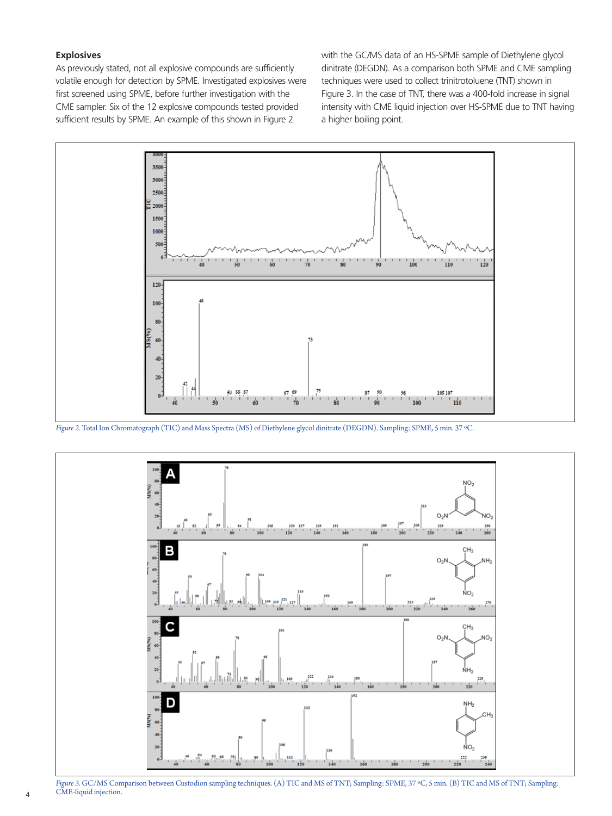#### **Explosives**

As previously stated, not all explosive compounds are sufficiently volatile enough for detection by SPME. Investigated explosives were first screened using SPME, before further investigation with the CME sampler. Six of the 12 explosive compounds tested provided sufficient results by SPME. An example of this shown in Figure 2

with the GC/MS data of an HS-SPME sample of Diethylene glycol dinitrate (DEGDN). As a comparison both SPME and CME sampling techniques were used to collect trinitrotoluene (TNT) shown in Figure 3. In the case of TNT, there was a 400-fold increase in signal intensity with CME liquid injection over HS-SPME due to TNT having a higher boiling point.



*Figure 2.* Total Ion Chromatograph (TIC) and Mass Spectra (MS) of Diethylene glycol dinitrate (DEGDN). Sampling: SPME, 5 min. 37 ºC.



*Figure 3.* GC/MS Comparison between Custodion sampling techniques. (A) TIC and MS of TNT; Sampling: SPME, 37 ºC, 5 min. (B) TIC and MS of TNT; Sampling: CME-liquid injection.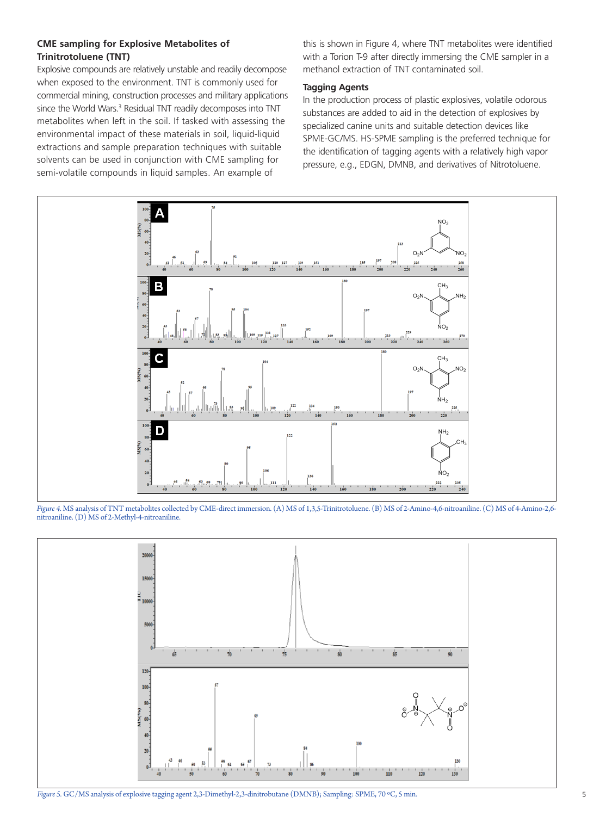## **CME sampling for Explosive Metabolites of Trinitrotoluene (TNT)**

Explosive compounds are relatively unstable and readily decompose when exposed to the environment. TNT is commonly used for commercial mining, construction processes and military applications since the World Wars.<sup>3</sup> Residual TNT readily decomposes into TNT metabolites when left in the soil. If tasked with assessing the environmental impact of these materials in soil, liquid-liquid extractions and sample preparation techniques with suitable solvents can be used in conjunction with CME sampling for semi-volatile compounds in liquid samples. An example of

this is shown in Figure 4, where TNT metabolites were identified with a Torion T-9 after directly immersing the CME sampler in a methanol extraction of TNT contaminated soil.

#### **Tagging Agents**

In the production process of plastic explosives, volatile odorous substances are added to aid in the detection of explosives by specialized canine units and suitable detection devices like SPME-GC/MS. HS-SPME sampling is the preferred technique for the identification of tagging agents with a relatively high vapor pressure, e.g., EDGN, DMNB, and derivatives of Nitrotoluene.



*Figure 4.* MS analysis of TNT metabolites collected by CME-direct immersion. (A) MS of 1,3,5-Trinitrotoluene. (B) MS of 2-Amino-4,6-nitroaniline. (C) MS of 4-Amino-2,6 nitroaniline. (D) MS of 2-Methyl-4-nitroaniline.

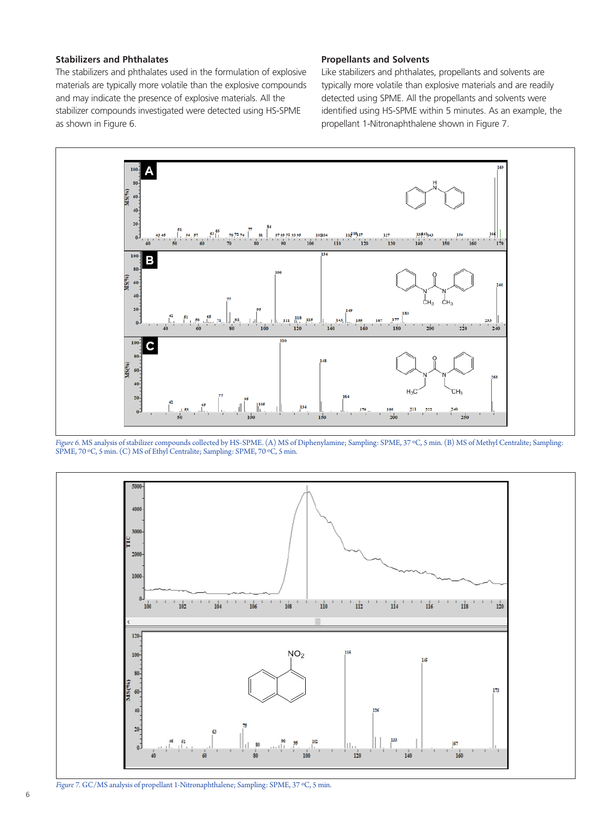## **Stabilizers and Phthalates**

The stabilizers and phthalates used in the formulation of explosive materials are typically more volatile than the explosive compounds and may indicate the presence of explosive materials. All the stabilizer compounds investigated were detected using HS-SPME as shown in Figure 6.

#### **Propellants and Solvents**

Like stabilizers and phthalates, propellants and solvents are typically more volatile than explosive materials and are readily detected using SPME. All the propellants and solvents were identified using HS-SPME within 5 minutes. As an example, the propellant 1-Nitronaphthalene shown in Figure 7.



*Figure 6.* MS analysis of stabilizer compounds collected by HS-SPME. (A) MS of Diphenylamine; Sampling: SPME, 37 ºC, 5 min. (B) MS of Methyl Centralite; Sampling: SPME, 70 ºC, 5 min. (C) MS of Ethyl Centralite; Sampling: SPME, 70 ºC, 5 min.



*Figure 7.* GC/MS analysis of propellant 1-Nitronaphthalene; Sampling: SPME, 37 ºC, 5 min.